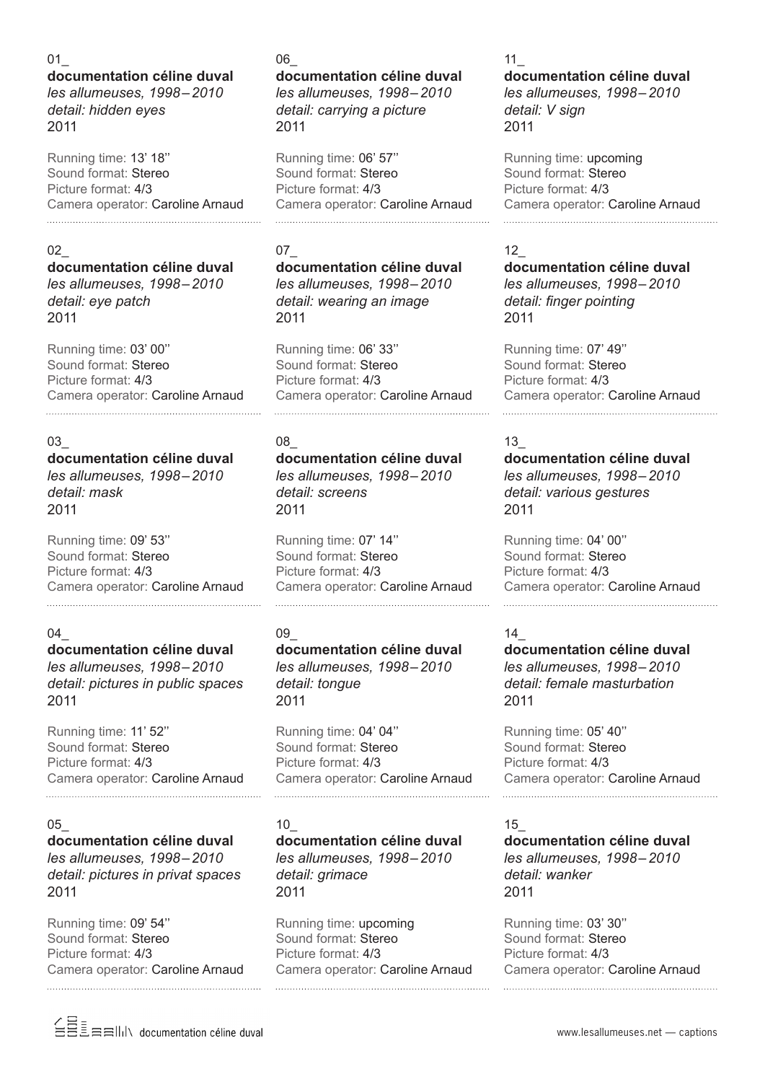#### 01\_ **documentation céline duval** *les allumeuses, 1998–2010 detail: hidden eyes* 2011

Running time: 13' 18'' Sound format: Stereo Picture format: 4/3 Camera operator: Caroline Arnaud 

## 02\_

2011

## **documentation céline duval** *les allumeuses, 1998–2010 detail: eye patch*

Running time: 03' 00'' Sound format: Stereo Picture format: 4/3 Camera operator: Caroline Arnaud

## 03\_

# **documentation céline duval**

*les allumeuses, 1998–2010 detail: mask* 2011

Running time: 09' 53'' Sound format: Stereo Picture format: 4/3 Camera operator: Caroline Arnaud

## 04\_

## **documentation céline duval** *les allumeuses, 1998–2010 detail: pictures in public spaces* 2011

Running time: 11' 52'' Sound format: Stereo Picture format: 4/3 Camera operator: Caroline Arnaud

#### 05\_

# **documentation céline duval**

*les allumeuses, 1998–2010 detail: pictures in privat spaces* 2011

Running time: 09' 54'' Sound format: Stereo Picture format: 4/3 Camera operator: Caroline Arnaud 

### 06\_

**documentation céline duval** *les allumeuses, 1998–2010 detail: carrying a picture* 2011

Running time: 06' 57'' Sound format: Stereo Picture format: 4/3 Camera operator: Caroline Arnaud 

# 07\_

**documentation céline duval** *les allumeuses, 1998–2010 detail: wearing an image* 2011

Running time: 06' 33'' Sound format: Stereo Picture format: 4/3 Camera operator: Caroline Arnaud

## 08\_

**documentation céline duval** *les allumeuses, 1998–2010 detail: screens* 2011

Running time: 07' 14'' Sound format: Stereo Picture format: 4/3 Camera operator: Caroline Arnaud

## 09\_

**documentation céline duval** *les allumeuses, 1998–2010 detail: tongue* 2011

Running time: 04' 04'' Sound format: Stereo Picture format: 4/3 Camera operator: Caroline Arnaud 

## 10\_

#### **documentation céline duval** *les allumeuses, 1998–2010 detail: grimace* 2011

Running time: upcoming Sound format: Stereo Picture format: 4/3 Camera operator: Caroline Arnaud

## 11\_

## **documentation céline duval** *les allumeuses, 1998–2010 detail: V sign* 2011

Running time: upcoming Sound format: Stereo Picture format: 4/3 Camera operator: Caroline Arnaud 

## 12\_

**documentation céline duval** *les allumeuses, 1998–2010 detail: finger pointing* 2011

Running time: 07' 49'' Sound format: Stereo Picture format: 4/3 Camera operator: Caroline Arnaud 

## 13\_

**documentation céline duval** *les allumeuses, 1998–2010 detail: various gestures* 2011

Running time: 04' 00'' Sound format: Stereo Picture format: 4/3 Camera operator: Caroline Arnaud

## 14\_

**documentation céline duval** *les allumeuses, 1998–2010 detail: female masturbation* 2011

Running time: 05' 40'' Sound format: Stereo Picture format: 4/3 Camera operator: Caroline Arnaud 

#### 15\_

**documentation céline duval** *les allumeuses, 1998–2010 detail: wanker* 2011

Running time: 03' 30'' Sound format: Stereo Picture format: 4/3 Camera operator: Caroline Arnaud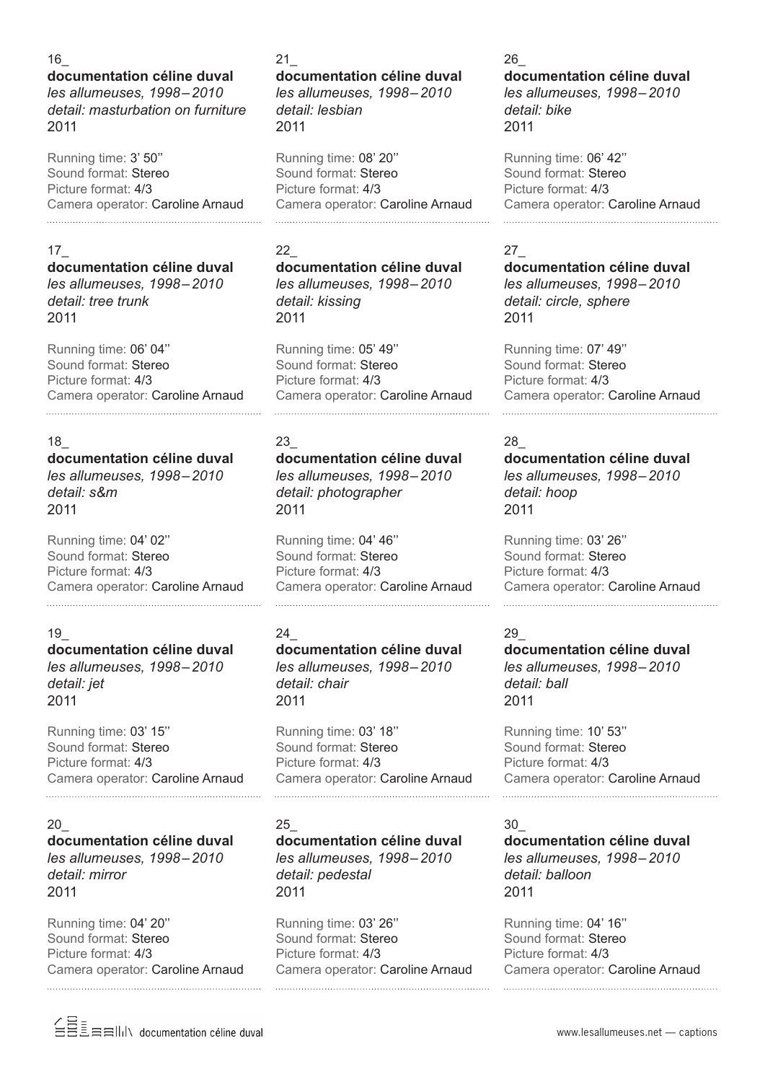#### 16\_

### **documentation céline duval** *les allumeuses, 1998–2010 detail: masturbation on furniture* 2011

Running time: 3' 50'' Sound format: Stereo Picture format: 4/3 Camera operator: Caroline Arnaud 

## 17\_

# **documentation céline duval** *les allumeuses, 1998–2010*

*detail: tree trunk* 2011

Running time: 06' 04'' Sound format: Stereo Picture format: 4/3 Camera operator: Caroline Arnaud

## 18\_ **documentation céline duval**

*les allumeuses, 1998–2010 detail: s&m* 2011

Running time: 04' 02'' Sound format: Stereo Picture format: 4/3 Camera operator: Caroline Arnaud

## 19\_

**documentation céline duval** *les allumeuses, 1998–2010 detail: jet* 2011

Running time: 03' 15'' Sound format: Stereo Picture format: 4/3 Camera operator: Caroline Arnaud

#### 20\_ **documentation céline duval** *les allumeuses, 1998–2010 detail: mirror* 2011

Running time: 04' 20'' Sound format: Stereo Picture format: 4/3 Camera operator: Caroline Arnaud 

## 21\_

**documentation céline duval** *les allumeuses, 1998–2010 detail: lesbian* 2011

Running time: 08' 20'' Sound format: Stereo Picture format: 4/3 Camera operator: Caroline Arnaud 

# 22\_

**documentation céline duval** *les allumeuses, 1998–2010 detail: kissing* 2011

Running time: 05' 49'' Sound format: Stereo Picture format: 4/3 Camera operator: Caroline Arnaud 

#### 23\_ **documentation céline duval** *les allumeuses, 1998–2010 detail: photographer* 2011

Running time: 04' 46'' Sound format: Stereo Picture format: 4/3 Camera operator: Caroline Arnaud

# 24\_

**documentation céline duval** *les allumeuses, 1998–2010 detail: chair* 2011

Running time: 03' 18'' Sound format: Stereo Picture format: 4/3 Camera operator: Caroline Arnaud 

## 25\_

**documentation céline duval** *les allumeuses, 1998–2010 detail: pedestal* 2011

Running time: 03' 26'' Sound format: Stereo Picture format: 4/3 Camera operator: Caroline Arnaud

#### 26\_

**documentation céline duval** *les allumeuses, 1998–2010 detail: bike* 2011

Running time: 06' 42'' Sound format: Stereo Picture format: 4/3 Camera operator: Caroline Arnaud 

## 27\_

**documentation céline duval** *les allumeuses, 1998–2010 detail: circle, sphere* 2011

Running time: 07' 49'' Sound format: Stereo Picture format: 4/3 Camera operator: Caroline Arnaud 

## 28\_

**documentation céline duval** *les allumeuses, 1998–2010 detail: hoop* 2011

Running time: 03' 26'' Sound format: Stereo Picture format: 4/3 Camera operator: Caroline Arnaud 

#### 29\_

**documentation céline duval** *les allumeuses, 1998–2010 detail: ball* 2011

Running time: 10' 53'' Sound format: Stereo Picture format: 4/3 Camera operator: Caroline Arnaud 

#### 30\_

**documentation céline duval** *les allumeuses, 1998–2010 detail: balloon* 2011

Running time: 04' 16'' Sound format: Stereo Picture format: 4/3 Camera operator: Caroline Arnaud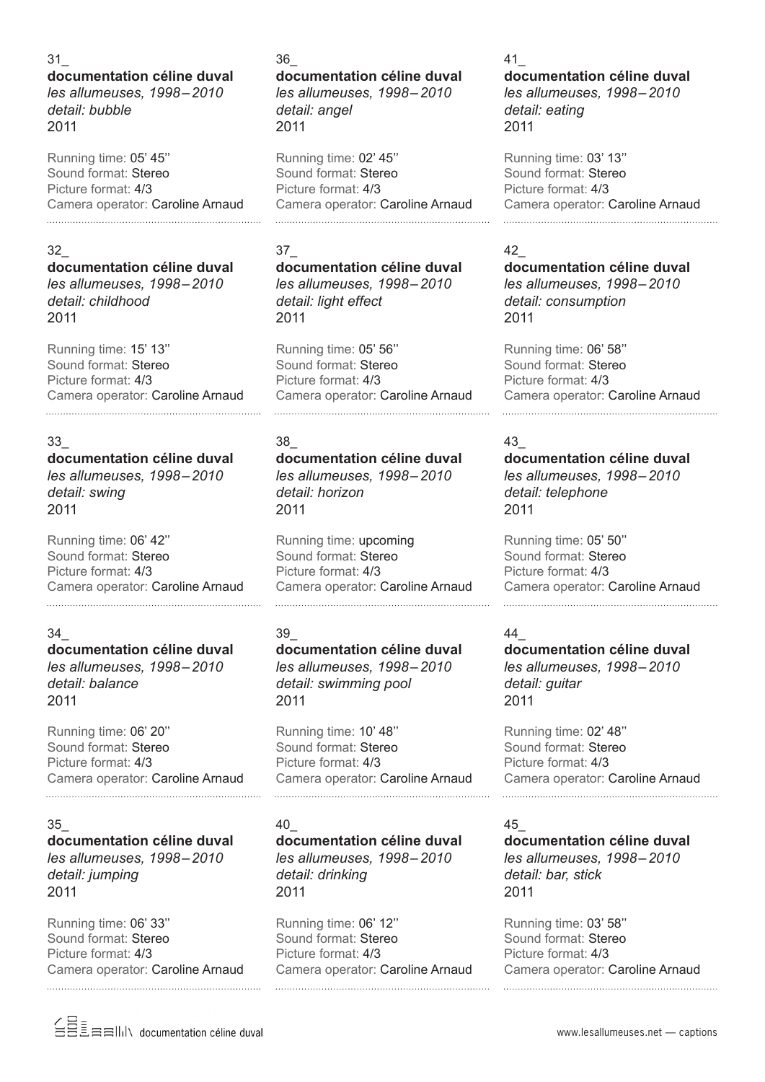### 31\_

### **documentation céline duval** *les allumeuses, 1998–2010 detail: bubble* 2011

Running time: 05' 45'' Sound format: Stereo Picture format: 4/3 Camera operator: Caroline Arnaud 

#### 32\_

#### **documentation céline duval** *les allumeuses, 1998–2010 detail: childhood* 2011

Running time: 15' 13'' Sound format: Stereo Picture format: 4/3 Camera operator: Caroline Arnaud

## 33\_

# **documentation céline duval**

*les allumeuses, 1998–2010 detail: swing* 2011

Running time: 06' 42'' Sound format: Stereo Picture format: 4/3 Camera operator: Caroline Arnaud

## 34\_

**documentation céline duval** *les allumeuses, 1998–2010 detail: balance* 2011

Running time: 06' 20'' Sound format: Stereo Picture format: 4/3 Camera operator: Caroline Arnaud

#### 35\_

## **documentation céline duval** *les allumeuses, 1998–2010 detail: jumping* 2011

Running time: 06' 33'' Sound format: Stereo Picture format: 4/3 Camera operator: Caroline Arnaud 

#### 36\_

#### **documentation céline duval** *les allumeuses, 1998–2010 detail: angel* 2011

Running time: 02' 45'' Sound format: Stereo Picture format: 4/3 Camera operator: Caroline Arnaud 

# 37\_

**documentation céline duval** *les allumeuses, 1998–2010 detail: light effect* 2011

Running time: 05' 56'' Sound format: Stereo Picture format: 4/3 Camera operator: Caroline Arnaud

# 38\_

**documentation céline duval** *les allumeuses, 1998–2010 detail: horizon* 2011

Running time: upcoming Sound format: Stereo Picture format: 4/3 Camera operator: Caroline Arnaud

## 39\_

**documentation céline duval** *les allumeuses, 1998–2010 detail: swimming pool* 2011

Running time: 10' 48'' Sound format: Stereo Picture format: 4/3 Camera operator: Caroline Arnaud 

## 40\_

**documentation céline duval** *les allumeuses, 1998–2010 detail: drinking* 2011

Running time: 06' 12'' Sound format: Stereo Picture format: 4/3 Camera operator: Caroline Arnaud

## 41\_

**documentation céline duval** *les allumeuses, 1998–2010 detail: eating* 2011

Running time: 03' 13'' Sound format: Stereo Picture format: 4/3 Camera operator: Caroline Arnaud 

## 42\_

**documentation céline duval** *les allumeuses, 1998–2010 detail: consumption* 2011

Running time: 06' 58'' Sound format: Stereo Picture format: 4/3 Camera operator: Caroline Arnaud 

## 43\_

**documentation céline duval** *les allumeuses, 1998–2010 detail: telephone* 2011

Running time: 05' 50'' Sound format: Stereo Picture format: 4/3 Camera operator: Caroline Arnaud 

#### 44\_

**documentation céline duval** *les allumeuses, 1998–2010 detail: guitar* 2011

Running time: 02' 48'' Sound format: Stereo Picture format: 4/3 Camera operator: Caroline Arnaud 

#### 45\_

**documentation céline duval** *les allumeuses, 1998–2010 detail: bar, stick* 2011

Running time: 03' 58'' Sound format: Stereo Picture format: 4/3 Camera operator: Caroline Arnaud